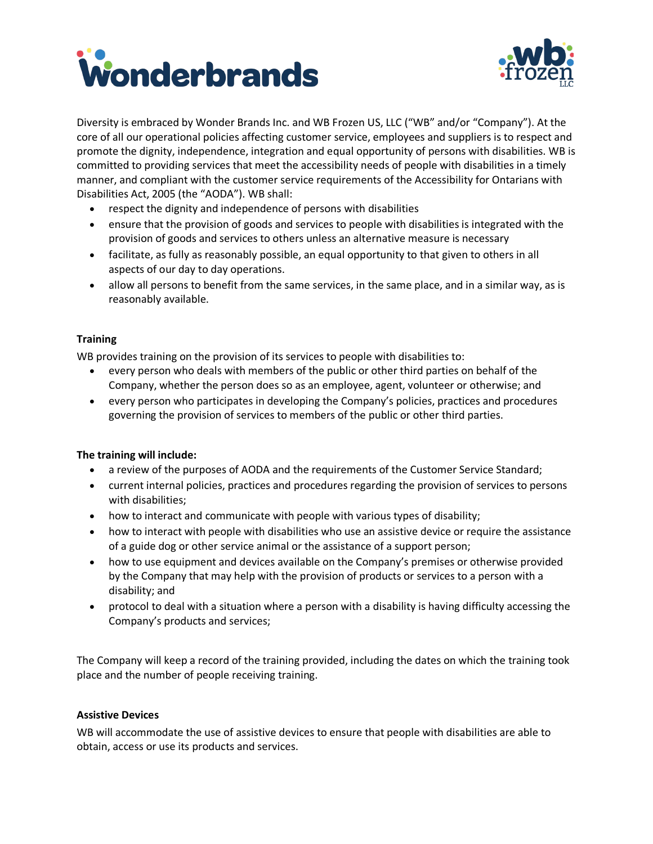



Diversity is embraced by Wonder Brands Inc. and WB Frozen US, LLC ("WB" and/or "Company"). At the core of all our operational policies affecting customer service, employees and suppliers is to respect and promote the dignity, independence, integration and equal opportunity of persons with disabilities. WB is committed to providing services that meet the accessibility needs of people with disabilities in a timely manner, and compliant with the customer service requirements of the Accessibility for Ontarians with Disabilities Act, 2005 (the "AODA"). WB shall:

- respect the dignity and independence of persons with disabilities
- ensure that the provision of goods and services to people with disabilities is integrated with the provision of goods and services to others unless an alternative measure is necessary
- facilitate, as fully as reasonably possible, an equal opportunity to that given to others in all aspects of our day to day operations.
- allow all persons to benefit from the same services, in the same place, and in a similar way, as is reasonably available.

# **Training**

WB provides training on the provision of its services to people with disabilities to:

- every person who deals with members of the public or other third parties on behalf of the Company, whether the person does so as an employee, agent, volunteer or otherwise; and
- every person who participates in developing the Company's policies, practices and procedures governing the provision of services to members of the public or other third parties.

# **The training will include:**

- a review of the purposes of AODA and the requirements of the Customer Service Standard;
- current internal policies, practices and procedures regarding the provision of services to persons with disabilities;
- how to interact and communicate with people with various types of disability;
- how to interact with people with disabilities who use an assistive device or require the assistance of a guide dog or other service animal or the assistance of a support person;
- how to use equipment and devices available on the Company's premises or otherwise provided by the Company that may help with the provision of products or services to a person with a disability; and
- protocol to deal with a situation where a person with a disability is having difficulty accessing the Company's products and services;

The Company will keep a record of the training provided, including the dates on which the training took place and the number of people receiving training.

# **Assistive Devices**

WB will accommodate the use of assistive devices to ensure that people with disabilities are able to obtain, access or use its products and services.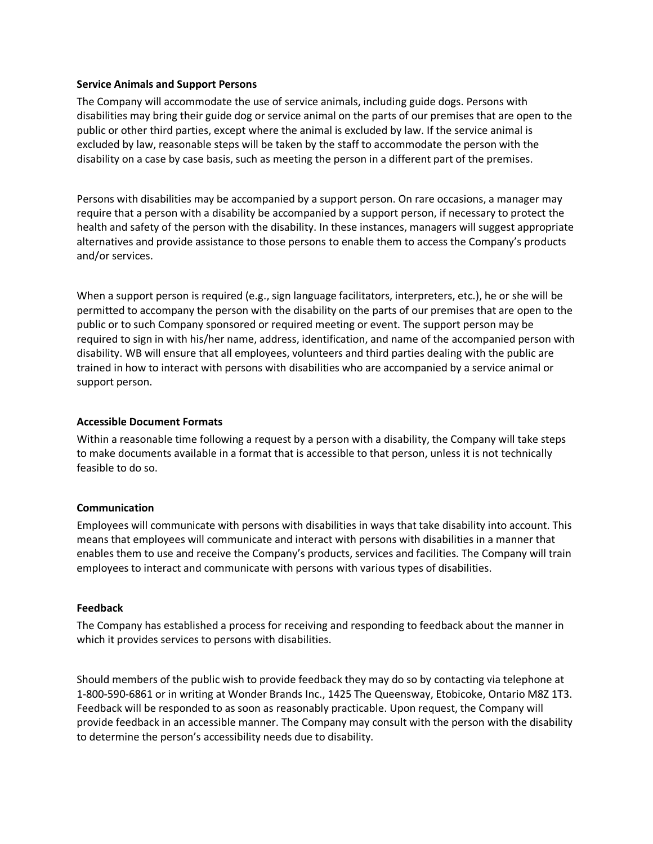### **Service Animals and Support Persons**

The Company will accommodate the use of service animals, including guide dogs. Persons with disabilities may bring their guide dog or service animal on the parts of our premises that are open to the public or other third parties, except where the animal is excluded by law. If the service animal is excluded by law, reasonable steps will be taken by the staff to accommodate the person with the disability on a case by case basis, such as meeting the person in a different part of the premises.

Persons with disabilities may be accompanied by a support person. On rare occasions, a manager may require that a person with a disability be accompanied by a support person, if necessary to protect the health and safety of the person with the disability. In these instances, managers will suggest appropriate alternatives and provide assistance to those persons to enable them to access the Company's products and/or services.

When a support person is required (e.g., sign language facilitators, interpreters, etc.), he or she will be permitted to accompany the person with the disability on the parts of our premises that are open to the public or to such Company sponsored or required meeting or event. The support person may be required to sign in with his/her name, address, identification, and name of the accompanied person with disability. WB will ensure that all employees, volunteers and third parties dealing with the public are trained in how to interact with persons with disabilities who are accompanied by a service animal or support person.

### **Accessible Document Formats**

Within a reasonable time following a request by a person with a disability, the Company will take steps to make documents available in a format that is accessible to that person, unless it is not technically feasible to do so.

#### **Communication**

Employees will communicate with persons with disabilities in ways that take disability into account. This means that employees will communicate and interact with persons with disabilities in a manner that enables them to use and receive the Company's products, services and facilities. The Company will train employees to interact and communicate with persons with various types of disabilities.

#### **Feedback**

The Company has established a process for receiving and responding to feedback about the manner in which it provides services to persons with disabilities.

Should members of the public wish to provide feedback they may do so by contacting via telephone at 1-800-590-6861 or in writing at Wonder Brands Inc., 1425 The Queensway, Etobicoke, Ontario M8Z 1T3. Feedback will be responded to as soon as reasonably practicable. Upon request, the Company will provide feedback in an accessible manner. The Company may consult with the person with the disability to determine the person's accessibility needs due to disability.